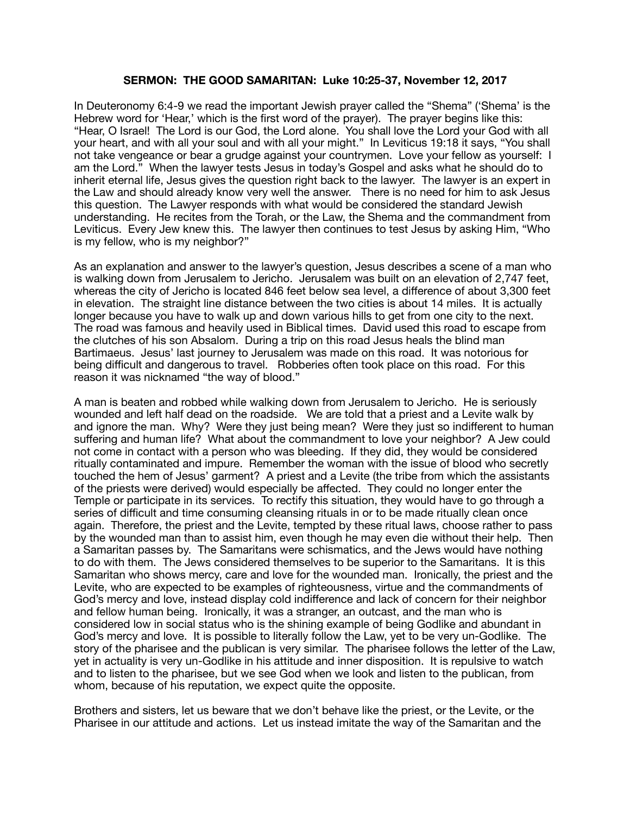## **SERMON: THE GOOD SAMARITAN: Luke 10:25-37, November 12, 2017**

In Deuteronomy 6:4-9 we read the important Jewish prayer called the "Shema" ('Shema' is the Hebrew word for 'Hear,' which is the first word of the prayer). The prayer begins like this: "Hear, O Israel! The Lord is our God, the Lord alone. You shall love the Lord your God with all your heart, and with all your soul and with all your might." In Leviticus 19:18 it says, "You shall not take vengeance or bear a grudge against your countrymen. Love your fellow as yourself: I am the Lord." When the lawyer tests Jesus in today's Gospel and asks what he should do to inherit eternal life, Jesus gives the question right back to the lawyer. The lawyer is an expert in the Law and should already know very well the answer. There is no need for him to ask Jesus this question. The Lawyer responds with what would be considered the standard Jewish understanding. He recites from the Torah, or the Law, the Shema and the commandment from Leviticus. Every Jew knew this. The lawyer then continues to test Jesus by asking Him, "Who is my fellow, who is my neighbor?"

As an explanation and answer to the lawyer's question, Jesus describes a scene of a man who is walking down from Jerusalem to Jericho. Jerusalem was built on an elevation of 2,747 feet, whereas the city of Jericho is located 846 feet below sea level, a difference of about 3,300 feet in elevation. The straight line distance between the two cities is about 14 miles. It is actually longer because you have to walk up and down various hills to get from one city to the next. The road was famous and heavily used in Biblical times. David used this road to escape from the clutches of his son Absalom. During a trip on this road Jesus heals the blind man Bartimaeus. Jesus' last journey to Jerusalem was made on this road. It was notorious for being difficult and dangerous to travel. Robberies often took place on this road. For this reason it was nicknamed "the way of blood."

A man is beaten and robbed while walking down from Jerusalem to Jericho. He is seriously wounded and left half dead on the roadside. We are told that a priest and a Levite walk by and ignore the man. Why? Were they just being mean? Were they just so indifferent to human suffering and human life? What about the commandment to love your neighbor? A Jew could not come in contact with a person who was bleeding. If they did, they would be considered ritually contaminated and impure. Remember the woman with the issue of blood who secretly touched the hem of Jesus' garment? A priest and a Levite (the tribe from which the assistants of the priests were derived) would especially be affected. They could no longer enter the Temple or participate in its services. To rectify this situation, they would have to go through a series of difficult and time consuming cleansing rituals in or to be made ritually clean once again. Therefore, the priest and the Levite, tempted by these ritual laws, choose rather to pass by the wounded man than to assist him, even though he may even die without their help. Then a Samaritan passes by. The Samaritans were schismatics, and the Jews would have nothing to do with them. The Jews considered themselves to be superior to the Samaritans. It is this Samaritan who shows mercy, care and love for the wounded man. Ironically, the priest and the Levite, who are expected to be examples of righteousness, virtue and the commandments of God's mercy and love, instead display cold indifference and lack of concern for their neighbor and fellow human being. Ironically, it was a stranger, an outcast, and the man who is considered low in social status who is the shining example of being Godlike and abundant in God's mercy and love. It is possible to literally follow the Law, yet to be very un-Godlike. The story of the pharisee and the publican is very similar. The pharisee follows the letter of the Law, yet in actuality is very un-Godlike in his attitude and inner disposition. It is repulsive to watch and to listen to the pharisee, but we see God when we look and listen to the publican, from whom, because of his reputation, we expect quite the opposite.

Brothers and sisters, let us beware that we don't behave like the priest, or the Levite, or the Pharisee in our attitude and actions. Let us instead imitate the way of the Samaritan and the